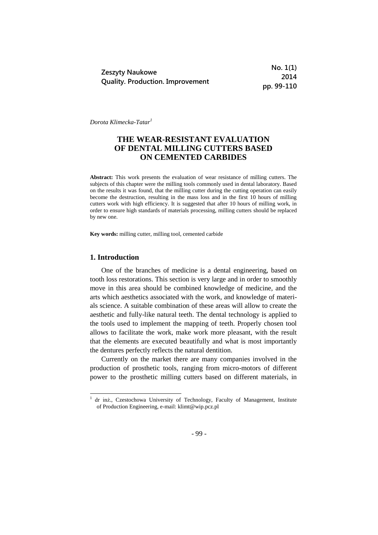| Zeszyty Naukowe                         |
|-----------------------------------------|
| <b>Quality. Production. Improvement</b> |

**No. 1(1) 2014 pp. 99-110**

*Dorota Klimecka-Tatar<sup>1</sup>*

# **THE WEAR-RESISTANT EVALUATION OF DENTAL MILLING CUTTERS BASED ON CEMENTED CARBIDES**

**Abstract:** This work presents the evaluation of wear resistance of milling cutters. The subjects of this chapter were the milling tools commonly used in dental laboratory. Based on the results it was found, that the milling cutter during the cutting operation can easily become the destruction, resulting in the mass loss and in the first 10 hours of milling cutters work with high efficiency. It is suggested that after 10 hours of milling work, in order to ensure high standards of materials processing, milling cutters should be replaced by new one.

**Key words:** milling cutter, milling tool, cemented carbide

### **1. Introduction**

-

One of the branches of medicine is a dental engineering, based on tooth loss restorations. This section is very large and in order to smoothly move in this area should be combined knowledge of medicine, and the arts which aesthetics associated with the work, and knowledge of materials science. A suitable combination of these areas will allow to create the aesthetic and fully-like natural teeth. The dental technology is applied to the tools used to implement the mapping of teeth. Properly chosen tool allows to facilitate the work, make work more pleasant, with the result that the elements are executed beautifully and what is most importantly the dentures perfectly reflects the natural dentition.

Currently on the market there are many companies involved in the production of prosthetic tools, ranging from micro-motors of different power to the prosthetic milling cutters based on different materials, in

<sup>1</sup> dr inż., Czestochowa University of Technology, Faculty of Management, Institute of Production Engineering, e-mail: klimt@wip.pcz.pl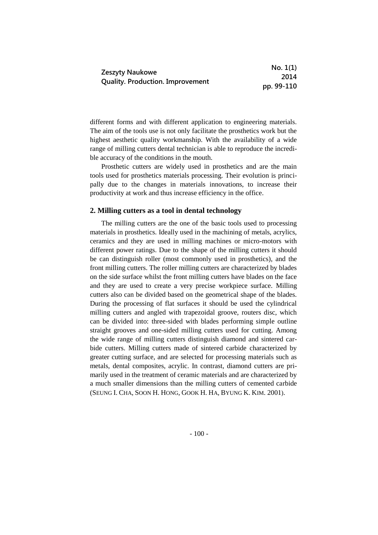|                                         | No. 1(1)   |
|-----------------------------------------|------------|
| Zeszyty Naukowe                         | 2014       |
| <b>Quality. Production. Improvement</b> | pp. 99-110 |

different forms and with different application to engineering materials. The aim of the tools use is not only facilitate the prosthetics work but the highest aesthetic quality workmanship. With the availability of a wide range of milling cutters dental technician is able to reproduce the incredible accuracy of the conditions in the mouth.

Prosthetic cutters are widely used in prosthetics and are the main tools used for prosthetics materials processing. Their evolution is principally due to the changes in materials innovations, to increase their productivity at work and thus increase efficiency in the office.

#### **2. Milling cutters as a tool in dental technology**

The milling cutters are the one of the basic tools used to processing materials in prosthetics. Ideally used in the machining of metals, acrylics, ceramics and they are used in milling machines or micro-motors with different power ratings. Due to the shape of the milling cutters it should be can distinguish roller (most commonly used in prosthetics), and the front milling cutters. The roller milling cutters are characterized by blades on the side surface whilst the front milling cutters have blades on the face and they are used to create a very precise workpiece surface. Milling cutters also can be divided based on the geometrical shape of the blades. During the processing of flat surfaces it should be used the cylindrical milling cutters and angled with trapezoidal groove, routers disc, which can be divided into: three-sided with blades performing simple outline straight grooves and one-sided milling cutters used for cutting. Among the wide range of milling cutters distinguish diamond and sintered carbide cutters. Milling cutters made of sintered carbide characterized by greater cutting surface, and are selected for processing materials such as metals, dental composites, acrylic. In contrast, diamond cutters are primarily used in the treatment of ceramic materials and are characterized by a much smaller dimensions than the milling cutters of cemented carbide (SEUNG I. CHA, SOON H. HONG, GOOK H. HA, BYUNG K. KIM. 2001).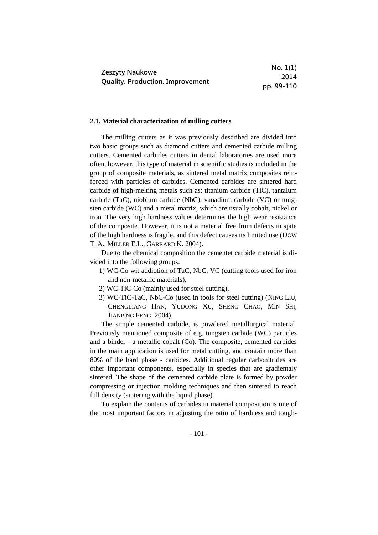|                                         | No. 1(1)   |
|-----------------------------------------|------------|
| <b>Zeszyty Naukowe</b>                  | 2014       |
| <b>Quality. Production. Improvement</b> | pp. 99-110 |

#### **2.1. Material characterization of milling cutters**

The milling cutters as it was previously described are divided into two basic groups such as diamond cutters and cemented carbide milling cutters. Cemented carbides cutters in dental laboratories are used more often, however, this type of material in scientific studies is included in the group of composite materials, as sintered metal matrix composites reinforced with particles of carbides. Cemented carbides are sintered hard carbide of high-melting metals such as: titanium carbide (TiC), tantalum carbide (TaC), niobium carbide (NbC), vanadium carbide (VC) or tungsten carbide (WC) and a metal matrix, which are usually cobalt, nickel or iron. The very high hardness values determines the high wear resistance of the composite. However, it is not a material free from defects in spite of the high hardness is fragile, and this defect causes its limited use (DOW T. A., MILLER E.L., GARRARD K. 2004).

Due to the chemical composition the cementet carbide material is divided into the following groups:

- 1) WC-Co wit addiotion of TaC, NbC, VC (cutting tools used for iron and non-metallic materials),
- 2) WC-TiC-Co (mainly used for steel cutting),
- 3) WC-TiC-TaC, NbC-Co (used in tools for steel cutting) (NING LIU, CHENGLIANG HAN, YUDONG XU, SHENG CHAO, MIN SHI, JIANPING FENG. 2004).

The simple cemented carbide, is powdered metallurgical material. Previously mentioned composite of e.g. tungsten carbide (WC) particles and a binder - a metallic cobalt (Co). The composite, cemented carbides in the main application is used for metal cutting, and contain more than 80% of the hard phase - carbides. Additional regular carbonitrides are other important components, especially in species that are gradientaly sintered. The shape of the cemented carbide plate is formed by powder compressing or injection molding techniques and then sintered to reach full density (sintering with the liquid phase)

To explain the contents of carbides in material composition is one of the most important factors in adjusting the ratio of hardness and tough-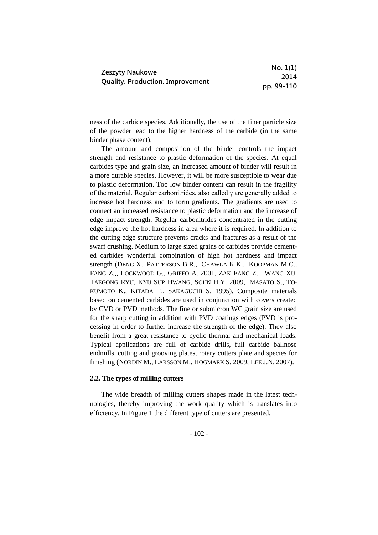|                                         | No. 1(1)   |
|-----------------------------------------|------------|
| Zeszyty Naukowe                         | 2014       |
| <b>Quality. Production. Improvement</b> | pp. 99-110 |

ness of the carbide species. Additionally, the use of the finer particle size of the powder lead to the higher hardness of the carbide (in the same binder phase content).

The amount and composition of the binder controls the impact strength and resistance to plastic deformation of the species. At equal carbides type and grain size, an increased amount of binder will result in a more durable species. However, it will be more susceptible to wear due to plastic deformation. Too low binder content can result in the fragility of the material. Regular carbonitrides, also called  $\gamma$  are generally added to increase hot hardness and to form gradients. The gradients are used to connect an increased resistance to plastic deformation and the increase of edge impact strength. Regular carbonitrides concentrated in the cutting edge improve the hot hardness in area where it is required. In addition to the cutting edge structure prevents cracks and fractures as a result of the swarf crushing. Medium to large sized grains of carbides provide cemented carbides wonderful combination of high hot hardness and impact strength (DENG X., PATTERSON B.R., CHAWLA K.K., KOOPMAN M.C., FANG Z.,, LOCKWOOD G., GRIFFO A. 2001, ZAK FANG Z., WANG XU, TAEGONG RYU, KYU SUP HWANG, SOHN H.Y. 2009, IMASATO S., TO-KUMOTO K., KITADA T., SAKAGUCHI S. 1995). Composite materials based on cemented carbides are used in conjunction with covers created by CVD or PVD methods. The fine or submicron WC grain size are used for the sharp cutting in addition with PVD coatings edges (PVD is processing in order to further increase the strength of the edge). They also benefit from a great resistance to cyclic thermal and mechanical loads. Typical applications are full of carbide drills, full carbide ballnose endmills, cutting and grooving plates, rotary cutters plate and species for finishing (NORDIN M., LARSSON M., HOGMARK S. 2009, LEE J.N. 2007).

### **2.2. The types of milling cutters**

The wide breadth of milling cutters shapes made in the latest technologies, thereby improving the work quality which is translates into efficiency. In Figure 1 the different type of cutters are presented.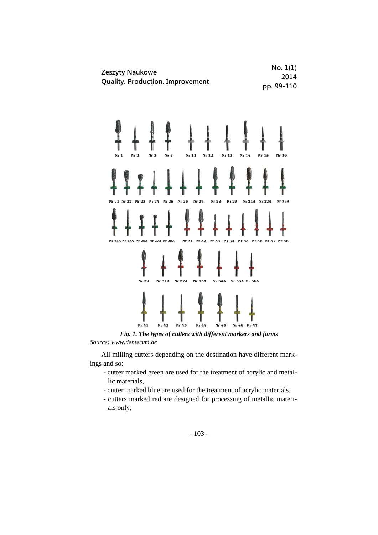

*Fig. 1. The types of cutters with different markers and forms Source: www.denterum.de* 

All milling cutters depending on the destination have different markings and so:

- cutter marked green are used for the treatment of acrylic and metallic materials,
- cutter marked blue are used for the treatment of acrylic materials,
- cutters marked red are designed for processing of metallic materials only,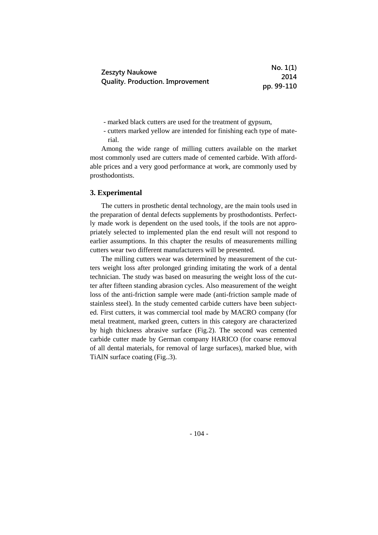|                                         | No. 1(1)   |
|-----------------------------------------|------------|
| Zeszyty Naukowe                         | 2014       |
| <b>Quality. Production. Improvement</b> | pp. 99-110 |

- marked black cutters are used for the treatment of gypsum,

- cutters marked yellow are intended for finishing each type of material.

Among the wide range of milling cutters available on the market most commonly used are cutters made of cemented carbide. With affordable prices and a very good performance at work, are commonly used by prosthodontists.

#### **3. Experimental**

The cutters in prosthetic dental technology, are the main tools used in the preparation of dental defects supplements by prosthodontists. Perfectly made work is dependent on the used tools, if the tools are not appropriately selected to implemented plan the end result will not respond to earlier assumptions. In this chapter the results of measurements milling cutters wear two different manufacturers will be presented.

The milling cutters wear was determined by measurement of the cutters weight loss after prolonged grinding imitating the work of a dental technician. The study was based on measuring the weight loss of the cutter after fifteen standing abrasion cycles. Also measurement of the weight loss of the anti-friction sample were made (anti-friction sample made of stainless steel). In the study cemented carbide cutters have been subjected. First cutters, it was commercial tool made by MACRO company (for metal treatment, marked green, cutters in this category are characterized by high thickness abrasive surface (Fig.2). The second was cemented carbide cutter made by German company HARICO (for coarse removal of all dental materials, for removal of large surfaces), marked blue, with TiAlN surface coating (Fig..3).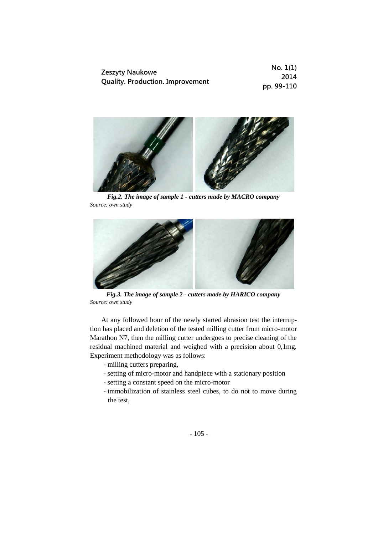|                                         | No. 1(1)   |
|-----------------------------------------|------------|
| <b>Zeszyty Naukowe</b>                  | 2014       |
| <b>Quality. Production. Improvement</b> | pp. 99-110 |



*Fig.2. The image of sample 1 - cutters made by MACRO company Source: own study*



*Fig.3. The image of sample 2 - cutters made by HARICO company Source: own study*

At any followed hour of the newly started abrasion test the interruption has placed and deletion of the tested milling cutter from micro-motor Marathon N7, then the milling cutter undergoes to precise cleaning of the residual machined material and weighed with a precision about 0,1mg. Experiment methodology was as follows:

- milling cutters preparing,
- setting of micro-motor and handpiece with a stationary position
- setting a constant speed on the micro-motor
- immobilization of stainless steel cubes, to do not to move during the test,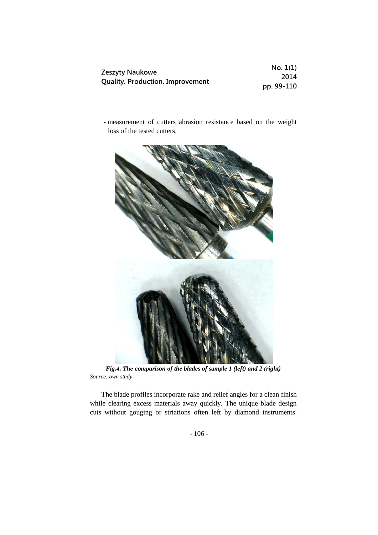|                                         | No. 1(1)   |
|-----------------------------------------|------------|
| <b>Zeszyty Naukowe</b>                  | 2014       |
| <b>Quality. Production. Improvement</b> | pp. 99-110 |

- measurement of cutters abrasion resistance based on the weight loss of the tested cutters.



*Fig.4. The comparison of the blades of sample 1 (left) and 2 (right) Source: own study*

The blade profiles incorporate rake and relief angles for a clean finish while clearing excess materials away quickly. The unique blade design cuts without gouging or striations often left by diamond instruments.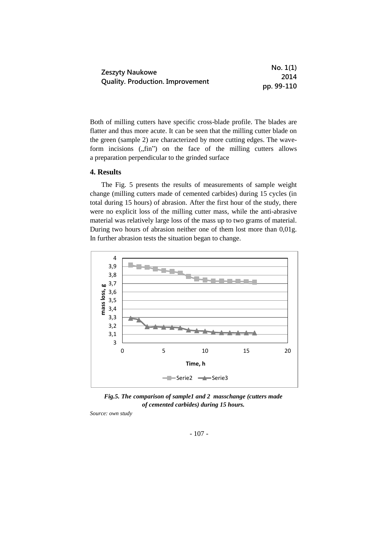|                                         | No. 1(1)   |
|-----------------------------------------|------------|
| Zeszyty Naukowe                         | 2014       |
| <b>Quality. Production. Improvement</b> | pp. 99-110 |

Both of milling cutters have specific cross-blade profile. The blades are flatter and thus more acute. It can be seen that the milling cutter blade on the green (sample 2) are characterized by more cutting edges. The waveform incisions  $($ , fin" $)$  on the face of the milling cutters allows a preparation perpendicular to the grinded surface

# **4. Results**

The Fig. 5 presents the results of measurements of sample weight change (milling cutters made of cemented carbides) during 15 cycles (in total during 15 hours) of abrasion. After the first hour of the study, there were no explicit loss of the milling cutter mass, while the anti-abrasive material was relatively large loss of the mass up to two grams of material. During two hours of abrasion neither one of them lost more than 0,01g. In further abrasion tests the situation began to change.



*Fig.5. The comparison of sample1 and 2 masschange (cutters made of cemented carbides) during 15 hours.* 

*Source: own study*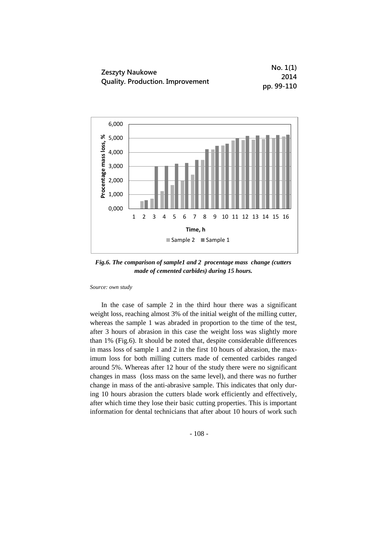|                                         | No. 1(1)   |
|-----------------------------------------|------------|
| Zeszyty Naukowe                         | 2014       |
| <b>Quality. Production. Improvement</b> | pp. 99-110 |



*Fig.6. The comparison of sample1 and 2 procentage mass change (cutters made of cemented carbides) during 15 hours.* 

*Source: own study*

In the case of sample 2 in the third hour there was a significant weight loss, reaching almost 3% of the initial weight of the milling cutter, whereas the sample 1 was abraded in proportion to the time of the test, after 3 hours of abrasion in this case the weight loss was slightly more than 1% (Fig.6). It should be noted that, despite considerable differences in mass loss of sample 1 and 2 in the first 10 hours of abrasion, the maximum loss for both milling cutters made of cemented carbides ranged around 5%. Whereas after 12 hour of the study there were no significant changes in mass (loss mass on the same level), and there was no further change in mass of the anti-abrasive sample. This indicates that only during 10 hours abrasion the cutters blade work efficiently and effectively, after which time they lose their basic cutting properties. This is important information for dental technicians that after about 10 hours of work such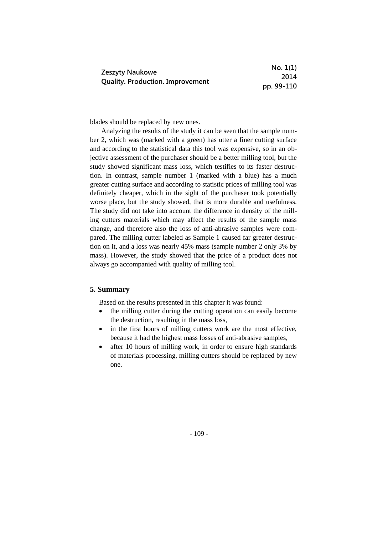|                                         | No. 1(1)   |
|-----------------------------------------|------------|
| Zeszyty Naukowe                         | 2014       |
| <b>Quality. Production. Improvement</b> | pp. 99-110 |

blades should be replaced by new ones.

Analyzing the results of the study it can be seen that the sample number 2, which was (marked with a green) has utter a finer cutting surface and according to the statistical data this tool was expensive, so in an objective assessment of the purchaser should be a better milling tool, but the study showed significant mass loss, which testifies to its faster destruction. In contrast, sample number 1 (marked with a blue) has a much greater cutting surface and according to statistic prices of milling tool was definitely cheaper, which in the sight of the purchaser took potentially worse place, but the study showed, that is more durable and usefulness. The study did not take into account the difference in density of the milling cutters materials which may affect the results of the sample mass change, and therefore also the loss of anti-abrasive samples were compared. The milling cutter labeled as Sample 1 caused far greater destruction on it, and a loss was nearly 45% mass (sample number 2 only 3% by mass). However, the study showed that the price of a product does not always go accompanied with quality of milling tool.

# **5. Summary**

Based on the results presented in this chapter it was found:

- the milling cutter during the cutting operation can easily become the destruction, resulting in the mass loss,
- in the first hours of milling cutters work are the most effective, because it had the highest mass losses of anti-abrasive samples,
- after 10 hours of milling work, in order to ensure high standards of materials processing, milling cutters should be replaced by new one.